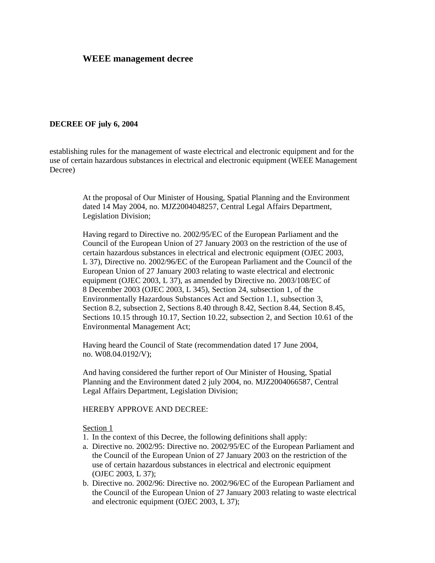# **WEEE management decree**

## **DECREE OF july 6, 2004**

establishing rules for the management of waste electrical and electronic equipment and for the use of certain hazardous substances in electrical and electronic equipment (WEEE Management Decree)

> At the proposal of Our Minister of Housing, Spatial Planning and the Environment dated 14 May 2004, no. MJZ2004048257, Central Legal Affairs Department, Legislation Division;

Having regard to Directive no. 2002/95/EC of the European Parliament and the Council of the European Union of 27 January 2003 on the restriction of the use of certain hazardous substances in electrical and electronic equipment (OJEC 2003, L 37), Directive no. 2002/96/EC of the European Parliament and the Council of the European Union of 27 January 2003 relating to waste electrical and electronic equipment (OJEC 2003, L 37), as amended by Directive no. 2003/108/EC of 8 December 2003 (OJEC 2003, L 345), Section 24, subsection 1, of the Environmentally Hazardous Substances Act and Section 1.1, subsection 3, Section 8.2, subsection 2, Sections 8.40 through 8.42, Section 8.44, Section 8.45, Sections 10.15 through 10.17, Section 10.22, subsection 2, and Section 10.61 of the Environmental Management Act;

Having heard the Council of State (recommendation dated 17 June 2004, no. W08.04.0192/V);

And having considered the further report of Our Minister of Housing, Spatial Planning and the Environment dated 2 july 2004, no. MJZ2004066587, Central Legal Affairs Department, Legislation Division;

## HEREBY APPROVE AND DECREE:

## Section 1

- 1. In the context of this Decree, the following definitions shall apply:
- a. Directive no. 2002/95: Directive no. 2002/95/EC of the European Parliament and the Council of the European Union of 27 January 2003 on the restriction of the use of certain hazardous substances in electrical and electronic equipment (OJEC 2003, L 37);
- b. Directive no. 2002/96: Directive no. 2002/96/EC of the European Parliament and the Council of the European Union of 27 January 2003 relating to waste electrical and electronic equipment (OJEC 2003, L 37);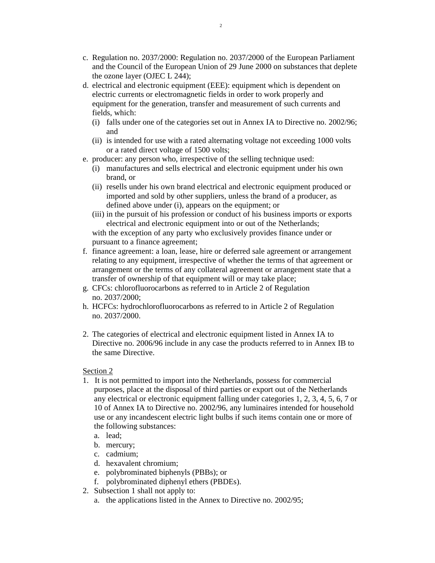- c. Regulation no. 2037/2000: Regulation no. 2037/2000 of the European Parliament and the Council of the European Union of 29 June 2000 on substances that deplete the ozone layer (OJEC L 244);
- d. electrical and electronic equipment (EEE): equipment which is dependent on electric currents or electromagnetic fields in order to work properly and equipment for the generation, transfer and measurement of such currents and fields, which:
	- (i) falls under one of the categories set out in Annex IA to Directive no. 2002/96; and
	- (ii) is intended for use with a rated alternating voltage not exceeding 1000 volts or a rated direct voltage of 1500 volts;
- e. producer: any person who, irrespective of the selling technique used:
	- (i) manufactures and sells electrical and electronic equipment under his own brand, or
	- (ii) resells under his own brand electrical and electronic equipment produced or imported and sold by other suppliers, unless the brand of a producer, as defined above under (i), appears on the equipment; or
	- (iii) in the pursuit of his profession or conduct of his business imports or exports electrical and electronic equipment into or out of the Netherlands;

with the exception of any party who exclusively provides finance under or pursuant to a finance agreement;

- f. finance agreement: a loan, lease, hire or deferred sale agreement or arrangement relating to any equipment, irrespective of whether the terms of that agreement or arrangement or the terms of any collateral agreement or arrangement state that a transfer of ownership of that equipment will or may take place;
- g. CFCs: chlorofluorocarbons as referred to in Article 2 of Regulation no. 2037/2000;
- h. HCFCs: hydrochlorofluorocarbons as referred to in Article 2 of Regulation no. 2037/2000.
- 2. The categories of electrical and electronic equipment listed in Annex IA to Directive no. 2006/96 include in any case the products referred to in Annex IB to the same Directive.

# Section 2

- 1. It is not permitted to import into the Netherlands, possess for commercial purposes, place at the disposal of third parties or export out of the Netherlands any electrical or electronic equipment falling under categories 1, 2, 3, 4, 5, 6, 7 or 10 of Annex IA to Directive no. 2002/96, any luminaires intended for household use or any incandescent electric light bulbs if such items contain one or more of the following substances:
	- a. lead;
	- b. mercury;
	- c. cadmium;
	- d. hexavalent chromium;
	- e. polybrominated biphenyls (PBBs); or
	- f. polybrominated diphenyl ethers (PBDEs).
- 2. Subsection 1 shall not apply to:
	- a. the applications listed in the Annex to Directive no. 2002/95;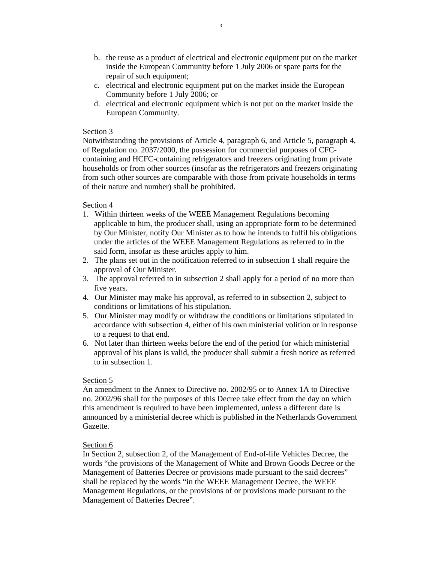- b. the reuse as a product of electrical and electronic equipment put on the market inside the European Community before 1 July 2006 or spare parts for the repair of such equipment;
- c. electrical and electronic equipment put on the market inside the European Community before 1 July 2006; or
- d. electrical and electronic equipment which is not put on the market inside the European Community.

Notwithstanding the provisions of Article 4, paragraph 6, and Article 5, paragraph 4, of Regulation no. 2037/2000, the possession for commercial purposes of CFCcontaining and HCFC-containing refrigerators and freezers originating from private households or from other sources (insofar as the refrigerators and freezers originating from such other sources are comparable with those from private households in terms of their nature and number) shall be prohibited.

### Section 4

- 1. Within thirteen weeks of the WEEE Management Regulations becoming applicable to him, the producer shall, using an appropriate form to be determined by Our Minister, notify Our Minister as to how he intends to fulfil his obligations under the articles of the WEEE Management Regulations as referred to in the said form, insofar as these articles apply to him.
- 2. The plans set out in the notification referred to in subsection 1 shall require the approval of Our Minister.
- 3. The approval referred to in subsection 2 shall apply for a period of no more than five years.
- 4. Our Minister may make his approval, as referred to in subsection 2, subject to conditions or limitations of his stipulation.
- 5. Our Minister may modify or withdraw the conditions or limitations stipulated in accordance with subsection 4, either of his own ministerial volition or in response to a request to that end.
- 6. Not later than thirteen weeks before the end of the period for which ministerial approval of his plans is valid, the producer shall submit a fresh notice as referred to in subsection 1.

#### Section 5

An amendment to the Annex to Directive no. 2002/95 or to Annex 1A to Directive no. 2002/96 shall for the purposes of this Decree take effect from the day on which this amendment is required to have been implemented, unless a different date is announced by a ministerial decree which is published in the Netherlands Government Gazette.

#### Section 6

In Section 2, subsection 2, of the Management of End-of-life Vehicles Decree, the words "the provisions of the Management of White and Brown Goods Decree or the Management of Batteries Decree or provisions made pursuant to the said decrees" shall be replaced by the words "in the WEEE Management Decree, the WEEE Management Regulations, or the provisions of or provisions made pursuant to the Management of Batteries Decree".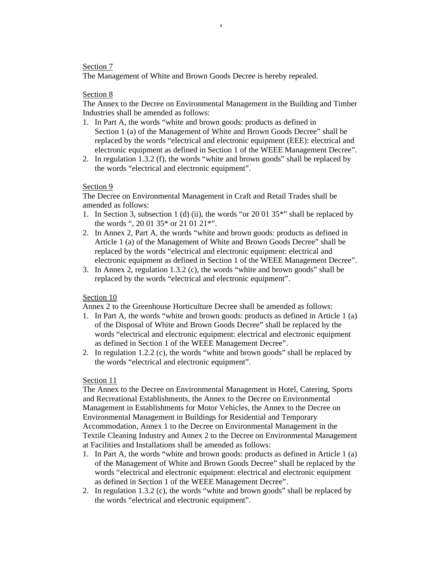The Management of White and Brown Goods Decree is hereby repealed.

## Section 8

The Annex to the Decree on Environmental Management in the Building and Timber Industries shall be amended as follows:

- 1. In Part A, the words "white and brown goods: products as defined in Section 1 (a) of the Management of White and Brown Goods Decree" shall be replaced by the words "electrical and electronic equipment (EEE): electrical and electronic equipment as defined in Section 1 of the WEEE Management Decree".
- 2. In regulation 1.3.2 (f), the words "white and brown goods" shall be replaced by the words "electrical and electronic equipment".

## Section 9

The Decree on Environmental Management in Craft and Retail Trades shall be amended as follows:

- 1. In Section 3, subsection 1 (d) (ii), the words "or 20 01  $35$ \*" shall be replaced by the words ", 20 01 35\* or 21 01 21\*".
- 2. In Annex 2, Part A, the words "white and brown goods: products as defined in Article 1 (a) of the Management of White and Brown Goods Decree" shall be replaced by the words "electrical and electronic equipment: electrical and electronic equipment as defined in Section 1 of the WEEE Management Decree".
- 3. In Annex 2, regulation 1.3.2 (c), the words "white and brown goods" shall be replaced by the words "electrical and electronic equipment".

## Section 10

Annex 2 to the Greenhouse Horticulture Decree shall be amended as follows:

- 1. In Part A, the words "white and brown goods: products as defined in Article 1 (a) of the Disposal of White and Brown Goods Decree" shall be replaced by the words "electrical and electronic equipment: electrical and electronic equipment as defined in Section 1 of the WEEE Management Decree".
- 2. In regulation 1.2.2 (c), the words "white and brown goods" shall be replaced by the words "electrical and electronic equipment".

## Section 11

The Annex to the Decree on Environmental Management in Hotel, Catering, Sports and Recreational Establishments, the Annex to the Decree on Environmental Management in Establishments for Motor Vehicles, the Annex to the Decree on Environmental Management in Buildings for Residential and Temporary Accommodation, Annex 1 to the Decree on Environmental Management in the Textile Cleaning Industry and Annex 2 to the Decree on Environmental Management at Facilities and Installations shall be amended as follows:

- 1. In Part A, the words "white and brown goods: products as defined in Article 1 (a) of the Management of White and Brown Goods Decree" shall be replaced by the words "electrical and electronic equipment: electrical and electronic equipment as defined in Section 1 of the WEEE Management Decree".
- 2. In regulation 1.3.2 (c), the words "white and brown goods" shall be replaced by the words "electrical and electronic equipment".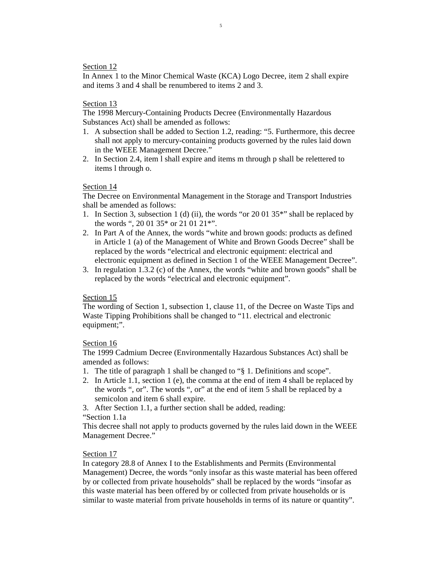In Annex 1 to the Minor Chemical Waste (KCA) Logo Decree, item 2 shall expire and items 3 and 4 shall be renumbered to items 2 and 3.

# Section 13

The 1998 Mercury-Containing Products Decree (Environmentally Hazardous Substances Act) shall be amended as follows:

- 1. A subsection shall be added to Section 1.2, reading: "5. Furthermore, this decree shall not apply to mercury-containing products governed by the rules laid down in the WEEE Management Decree."
- 2. In Section 2.4, item l shall expire and items m through p shall be relettered to items l through o.

# Section 14

The Decree on Environmental Management in the Storage and Transport Industries shall be amended as follows:

- 1. In Section 3, subsection 1 (d) (ii), the words "or 20 01 35\*" shall be replaced by the words ", 20 01 35\* or 21 01 21\*".
- 2. In Part A of the Annex, the words "white and brown goods: products as defined in Article 1 (a) of the Management of White and Brown Goods Decree" shall be replaced by the words "electrical and electronic equipment: electrical and electronic equipment as defined in Section 1 of the WEEE Management Decree".
- 3. In regulation 1.3.2 (c) of the Annex, the words "white and brown goods" shall be replaced by the words "electrical and electronic equipment".

# Section 15

The wording of Section 1, subsection 1, clause 11, of the Decree on Waste Tips and Waste Tipping Prohibitions shall be changed to "11. electrical and electronic equipment;".

# Section 16

The 1999 Cadmium Decree (Environmentally Hazardous Substances Act) shall be amended as follows:

- 1. The title of paragraph 1 shall be changed to "§ 1. Definitions and scope".
- 2. In Article 1.1, section 1 (e), the comma at the end of item 4 shall be replaced by the words ", or". The words ", or" at the end of item 5 shall be replaced by a semicolon and item 6 shall expire.

3. After Section 1.1, a further section shall be added, reading: "Section 1.1a

This decree shall not apply to products governed by the rules laid down in the WEEE Management Decree."

# Section 17

In category 28.8 of Annex I to the Establishments and Permits (Environmental Management) Decree, the words "only insofar as this waste material has been offered by or collected from private households" shall be replaced by the words "insofar as this waste material has been offered by or collected from private households or is similar to waste material from private households in terms of its nature or quantity".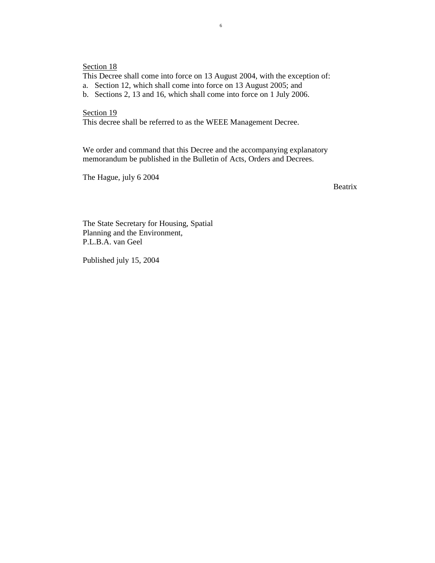This Decree shall come into force on 13 August 2004, with the exception of:

a. Section 12, which shall come into force on 13 August 2005; and

b. Sections 2, 13 and 16, which shall come into force on 1 July 2006.

# Section 19

This decree shall be referred to as the WEEE Management Decree.

We order and command that this Decree and the accompanying explanatory memorandum be published in the Bulletin of Acts, Orders and Decrees.

The Hague, july 6 2004

Beatrix

The State Secretary for Housing, Spatial Planning and the Environment, P.L.B.A. van Geel

Published july 15, 2004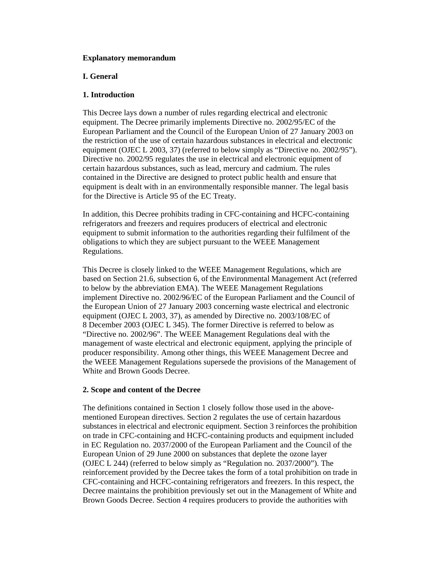## **Explanatory memorandum**

# **I. General**

# **1. Introduction**

This Decree lays down a number of rules regarding electrical and electronic equipment. The Decree primarily implements Directive no. 2002/95/EC of the European Parliament and the Council of the European Union of 27 January 2003 on the restriction of the use of certain hazardous substances in electrical and electronic equipment (OJEC L 2003, 37) (referred to below simply as "Directive no. 2002/95"). Directive no. 2002/95 regulates the use in electrical and electronic equipment of certain hazardous substances, such as lead, mercury and cadmium. The rules contained in the Directive are designed to protect public health and ensure that equipment is dealt with in an environmentally responsible manner. The legal basis for the Directive is Article 95 of the EC Treaty.

In addition, this Decree prohibits trading in CFC-containing and HCFC-containing refrigerators and freezers and requires producers of electrical and electronic equipment to submit information to the authorities regarding their fulfilment of the obligations to which they are subject pursuant to the WEEE Management Regulations.

This Decree is closely linked to the WEEE Management Regulations, which are based on Section 21.6, subsection 6, of the Environmental Management Act (referred to below by the abbreviation EMA). The WEEE Management Regulations implement Directive no. 2002/96/EC of the European Parliament and the Council of the European Union of 27 January 2003 concerning waste electrical and electronic equipment (OJEC L 2003, 37), as amended by Directive no. 2003/108/EC of 8 December 2003 (OJEC L 345). The former Directive is referred to below as "Directive no. 2002/96". The WEEE Management Regulations deal with the management of waste electrical and electronic equipment, applying the principle of producer responsibility. Among other things, this WEEE Management Decree and the WEEE Management Regulations supersede the provisions of the Management of White and Brown Goods Decree.

# **2. Scope and content of the Decree**

The definitions contained in Section 1 closely follow those used in the abovementioned European directives. Section 2 regulates the use of certain hazardous substances in electrical and electronic equipment. Section 3 reinforces the prohibition on trade in CFC-containing and HCFC-containing products and equipment included in EC Regulation no. 2037/2000 of the European Parliament and the Council of the European Union of 29 June 2000 on substances that deplete the ozone layer (OJEC L 244) (referred to below simply as "Regulation no. 2037/2000"). The reinforcement provided by the Decree takes the form of a total prohibition on trade in CFC-containing and HCFC-containing refrigerators and freezers. In this respect, the Decree maintains the prohibition previously set out in the Management of White and Brown Goods Decree. Section 4 requires producers to provide the authorities with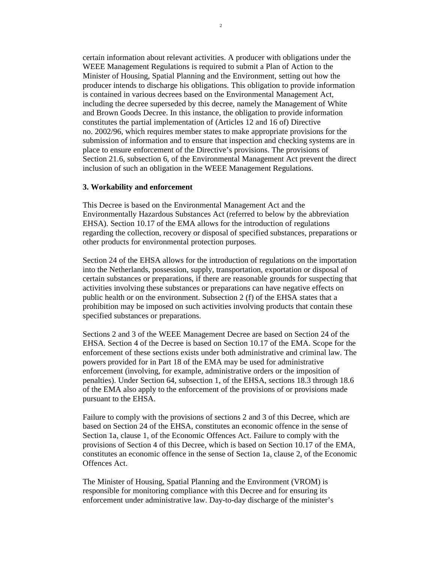certain information about relevant activities. A producer with obligations under the WEEE Management Regulations is required to submit a Plan of Action to the Minister of Housing, Spatial Planning and the Environment, setting out how the producer intends to discharge his obligations. This obligation to provide information is contained in various decrees based on the Environmental Management Act, including the decree superseded by this decree, namely the Management of White and Brown Goods Decree. In this instance, the obligation to provide information constitutes the partial implementation of (Articles 12 and 16 of) Directive no. 2002/96, which requires member states to make appropriate provisions for the submission of information and to ensure that inspection and checking systems are in place to ensure enforcement of the Directive's provisions. The provisions of Section 21.6, subsection 6, of the Environmental Management Act prevent the direct inclusion of such an obligation in the WEEE Management Regulations.

## **3. Workability and enforcement**

This Decree is based on the Environmental Management Act and the Environmentally Hazardous Substances Act (referred to below by the abbreviation EHSA). Section 10.17 of the EMA allows for the introduction of regulations regarding the collection, recovery or disposal of specified substances, preparations or other products for environmental protection purposes.

Section 24 of the EHSA allows for the introduction of regulations on the importation into the Netherlands, possession, supply, transportation, exportation or disposal of certain substances or preparations, if there are reasonable grounds for suspecting that activities involving these substances or preparations can have negative effects on public health or on the environment. Subsection 2 (f) of the EHSA states that a prohibition may be imposed on such activities involving products that contain these specified substances or preparations.

Sections 2 and 3 of the WEEE Management Decree are based on Section 24 of the EHSA. Section 4 of the Decree is based on Section 10.17 of the EMA. Scope for the enforcement of these sections exists under both administrative and criminal law. The powers provided for in Part 18 of the EMA may be used for administrative enforcement (involving, for example, administrative orders or the imposition of penalties). Under Section 64, subsection 1, of the EHSA, sections 18.3 through 18.6 of the EMA also apply to the enforcement of the provisions of or provisions made pursuant to the EHSA.

Failure to comply with the provisions of sections 2 and 3 of this Decree, which are based on Section 24 of the EHSA, constitutes an economic offence in the sense of Section 1a, clause 1, of the Economic Offences Act. Failure to comply with the provisions of Section 4 of this Decree, which is based on Section 10.17 of the EMA, constitutes an economic offence in the sense of Section 1a, clause 2, of the Economic Offences Act.

The Minister of Housing, Spatial Planning and the Environment (VROM) is responsible for monitoring compliance with this Decree and for ensuring its enforcement under administrative law. Day-to-day discharge of the minister's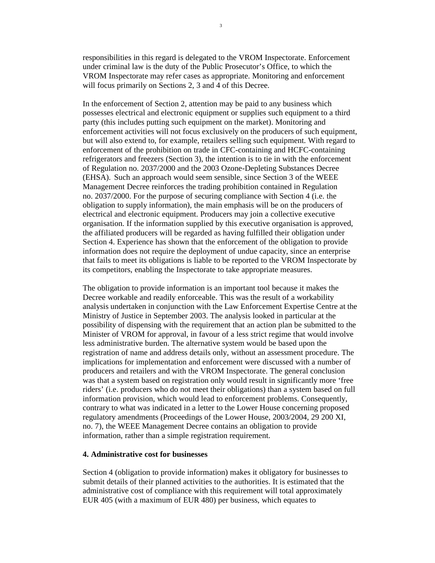responsibilities in this regard is delegated to the VROM Inspectorate. Enforcement under criminal law is the duty of the Public Prosecutor's Office, to which the VROM Inspectorate may refer cases as appropriate. Monitoring and enforcement will focus primarily on Sections 2, 3 and 4 of this Decree.

In the enforcement of Section 2, attention may be paid to any business which possesses electrical and electronic equipment or supplies such equipment to a third party (this includes putting such equipment on the market). Monitoring and enforcement activities will not focus exclusively on the producers of such equipment, but will also extend to, for example, retailers selling such equipment. With regard to enforcement of the prohibition on trade in CFC-containing and HCFC-containing refrigerators and freezers (Section 3), the intention is to tie in with the enforcement of Regulation no. 2037/2000 and the 2003 Ozone-Depleting Substances Decree (EHSA). Such an approach would seem sensible, since Section 3 of the WEEE Management Decree reinforces the trading prohibition contained in Regulation no. 2037/2000. For the purpose of securing compliance with Section 4 (i.e. the obligation to supply information), the main emphasis will be on the producers of electrical and electronic equipment. Producers may join a collective executive organisation. If the information supplied by this executive organisation is approved, the affiliated producers will be regarded as having fulfilled their obligation under Section 4. Experience has shown that the enforcement of the obligation to provide information does not require the deployment of undue capacity, since an enterprise that fails to meet its obligations is liable to be reported to the VROM Inspectorate by its competitors, enabling the Inspectorate to take appropriate measures.

The obligation to provide information is an important tool because it makes the Decree workable and readily enforceable. This was the result of a workability analysis undertaken in conjunction with the Law Enforcement Expertise Centre at the Ministry of Justice in September 2003. The analysis looked in particular at the possibility of dispensing with the requirement that an action plan be submitted to the Minister of VROM for approval, in favour of a less strict regime that would involve less administrative burden. The alternative system would be based upon the registration of name and address details only, without an assessment procedure. The implications for implementation and enforcement were discussed with a number of producers and retailers and with the VROM Inspectorate. The general conclusion was that a system based on registration only would result in significantly more 'free riders' (i.e. producers who do not meet their obligations) than a system based on full information provision, which would lead to enforcement problems. Consequently, contrary to what was indicated in a letter to the Lower House concerning proposed regulatory amendments (Proceedings of the Lower House, 2003/2004, 29 200 XI, no. 7), the WEEE Management Decree contains an obligation to provide information, rather than a simple registration requirement.

### **4. Administrative cost for businesses**

Section 4 (obligation to provide information) makes it obligatory for businesses to submit details of their planned activities to the authorities. It is estimated that the administrative cost of compliance with this requirement will total approximately EUR 405 (with a maximum of EUR 480) per business, which equates to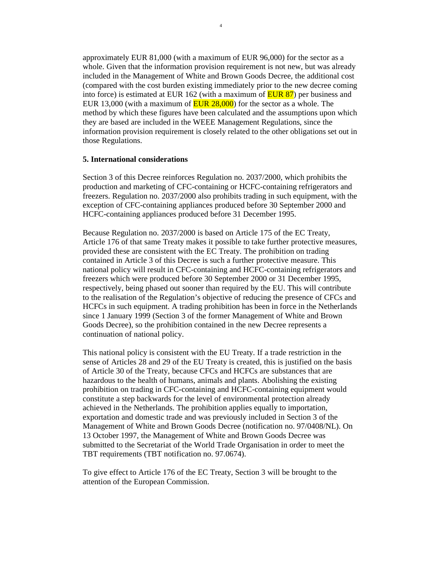approximately EUR 81,000 (with a maximum of EUR 96,000) for the sector as a whole. Given that the information provision requirement is not new, but was already included in the Management of White and Brown Goods Decree, the additional cost (compared with the cost burden existing immediately prior to the new decree coming into force) is estimated at EUR 162 (with a maximum of **EUR 87**) per business and EUR 13,000 (with a maximum of **EUR 28,000**) for the sector as a whole. The method by which these figures have been calculated and the assumptions upon which they are based are included in the WEEE Management Regulations, since the information provision requirement is closely related to the other obligations set out in those Regulations.

### **5. International considerations**

Section 3 of this Decree reinforces Regulation no. 2037/2000, which prohibits the production and marketing of CFC-containing or HCFC-containing refrigerators and freezers. Regulation no. 2037/2000 also prohibits trading in such equipment, with the exception of CFC-containing appliances produced before 30 September 2000 and HCFC-containing appliances produced before 31 December 1995.

Because Regulation no. 2037/2000 is based on Article 175 of the EC Treaty, Article 176 of that same Treaty makes it possible to take further protective measures, provided these are consistent with the EC Treaty. The prohibition on trading contained in Article 3 of this Decree is such a further protective measure. This national policy will result in CFC-containing and HCFC-containing refrigerators and freezers which were produced before 30 September 2000 or 31 December 1995, respectively, being phased out sooner than required by the EU. This will contribute to the realisation of the Regulation's objective of reducing the presence of CFCs and HCFCs in such equipment. A trading prohibition has been in force in the Netherlands since 1 January 1999 (Section 3 of the former Management of White and Brown Goods Decree), so the prohibition contained in the new Decree represents a continuation of national policy.

This national policy is consistent with the EU Treaty. If a trade restriction in the sense of Articles 28 and 29 of the EU Treaty is created, this is justified on the basis of Article 30 of the Treaty, because CFCs and HCFCs are substances that are hazardous to the health of humans, animals and plants. Abolishing the existing prohibition on trading in CFC-containing and HCFC-containing equipment would constitute a step backwards for the level of environmental protection already achieved in the Netherlands. The prohibition applies equally to importation, exportation and domestic trade and was previously included in Section 3 of the Management of White and Brown Goods Decree (notification no. 97/0408/NL). On 13 October 1997, the Management of White and Brown Goods Decree was submitted to the Secretariat of the World Trade Organisation in order to meet the TBT requirements (TBT notification no. 97.0674).

To give effect to Article 176 of the EC Treaty, Section 3 will be brought to the attention of the European Commission.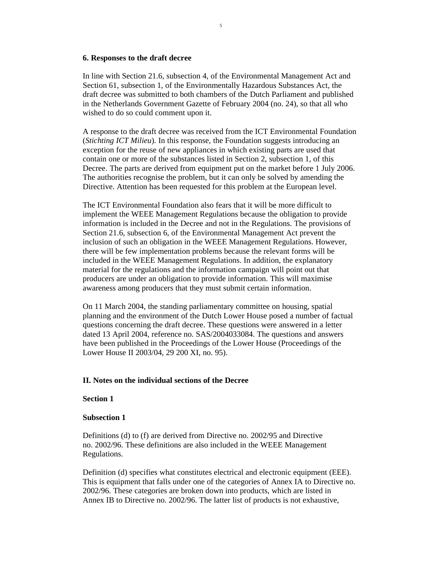### **6. Responses to the draft decree**

In line with Section 21.6, subsection 4, of the Environmental Management Act and Section 61, subsection 1, of the Environmentally Hazardous Substances Act, the draft decree was submitted to both chambers of the Dutch Parliament and published in the Netherlands Government Gazette of February 2004 (no. 24), so that all who wished to do so could comment upon it.

5

A response to the draft decree was received from the ICT Environmental Foundation (*Stichting ICT Milieu*). In this response, the Foundation suggests introducing an exception for the reuse of new appliances in which existing parts are used that contain one or more of the substances listed in Section 2, subsection 1, of this Decree. The parts are derived from equipment put on the market before 1 July 2006. The authorities recognise the problem, but it can only be solved by amending the Directive. Attention has been requested for this problem at the European level.

The ICT Environmental Foundation also fears that it will be more difficult to implement the WEEE Management Regulations because the obligation to provide information is included in the Decree and not in the Regulations. The provisions of Section 21.6, subsection 6, of the Environmental Management Act prevent the inclusion of such an obligation in the WEEE Management Regulations. However, there will be few implementation problems because the relevant forms will be included in the WEEE Management Regulations. In addition, the explanatory material for the regulations and the information campaign will point out that producers are under an obligation to provide information. This will maximise awareness among producers that they must submit certain information.

On 11 March 2004, the standing parliamentary committee on housing, spatial planning and the environment of the Dutch Lower House posed a number of factual questions concerning the draft decree. These questions were answered in a letter dated 13 April 2004, reference no. SAS/2004033084. The questions and answers have been published in the Proceedings of the Lower House (Proceedings of the Lower House II 2003/04, 29 200 XI, no. 95).

## **II. Notes on the individual sections of the Decree**

## **Section 1**

#### **Subsection 1**

Definitions (d) to (f) are derived from Directive no. 2002/95 and Directive no. 2002/96. These definitions are also included in the WEEE Management Regulations.

Definition (d) specifies what constitutes electrical and electronic equipment (EEE). This is equipment that falls under one of the categories of Annex IA to Directive no. 2002/96. These categories are broken down into products, which are listed in Annex IB to Directive no. 2002/96. The latter list of products is not exhaustive,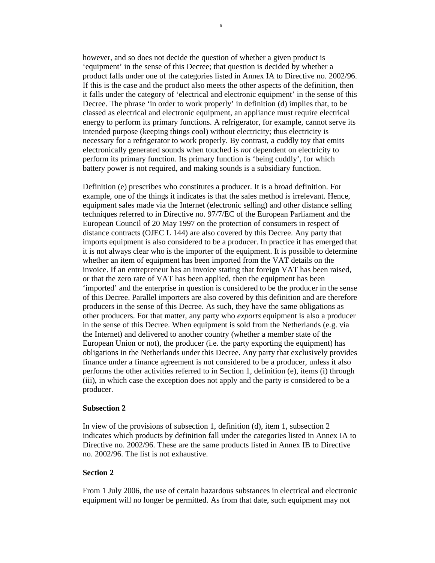however, and so does not decide the question of whether a given product is 'equipment' in the sense of this Decree; that question is decided by whether a product falls under one of the categories listed in Annex IA to Directive no. 2002/96. If this is the case and the product also meets the other aspects of the definition, then it falls under the category of 'electrical and electronic equipment' in the sense of this Decree. The phrase 'in order to work properly' in definition (d) implies that, to be classed as electrical and electronic equipment, an appliance must require electrical energy to perform its primary functions. A refrigerator, for example, cannot serve its intended purpose (keeping things cool) without electricity; thus electricity is necessary for a refrigerator to work properly. By contrast, a cuddly toy that emits electronically generated sounds when touched is *not* dependent on electricity to perform its primary function. Its primary function is 'being cuddly', for which battery power is not required, and making sounds is a subsidiary function.

Definition (e) prescribes who constitutes a producer. It is a broad definition. For example, one of the things it indicates is that the sales method is irrelevant. Hence, equipment sales made via the Internet (electronic selling) and other distance selling techniques referred to in Directive no. 97/7/EC of the European Parliament and the European Council of 20 May 1997 on the protection of consumers in respect of distance contracts (OJEC L 144) are also covered by this Decree. Any party that imports equipment is also considered to be a producer. In practice it has emerged that it is not always clear who is the importer of the equipment. It is possible to determine whether an item of equipment has been imported from the VAT details on the invoice. If an entrepreneur has an invoice stating that foreign VAT has been raised, or that the zero rate of VAT has been applied, then the equipment has been 'imported' and the enterprise in question is considered to be the producer in the sense of this Decree. Parallel importers are also covered by this definition and are therefore producers in the sense of this Decree. As such, they have the same obligations as other producers. For that matter, any party who *exports* equipment is also a producer in the sense of this Decree. When equipment is sold from the Netherlands (e.g. via the Internet) and delivered to another country (whether a member state of the European Union or not), the producer (i.e. the party exporting the equipment) has obligations in the Netherlands under this Decree. Any party that exclusively provides finance under a finance agreement is not considered to be a producer, unless it also performs the other activities referred to in Section 1, definition (e), items (i) through (iii), in which case the exception does not apply and the party *is* considered to be a producer.

## **Subsection 2**

In view of the provisions of subsection 1, definition (d), item 1, subsection 2 indicates which products by definition fall under the categories listed in Annex IA to Directive no. 2002/96. These are the same products listed in Annex IB to Directive no. 2002/96. The list is not exhaustive.

# **Section 2**

From 1 July 2006, the use of certain hazardous substances in electrical and electronic equipment will no longer be permitted. As from that date, such equipment may not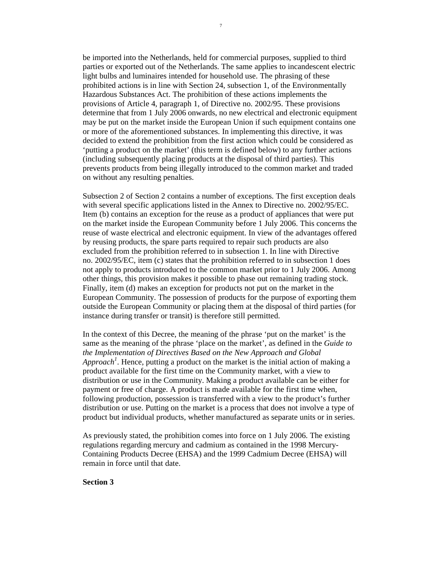be imported into the Netherlands, held for commercial purposes, supplied to third parties or exported out of the Netherlands. The same applies to incandescent electric light bulbs and luminaires intended for household use. The phrasing of these prohibited actions is in line with Section 24, subsection 1, of the Environmentally Hazardous Substances Act. The prohibition of these actions implements the provisions of Article 4, paragraph 1, of Directive no. 2002/95. These provisions determine that from 1 July 2006 onwards, no new electrical and electronic equipment may be put on the market inside the European Union if such equipment contains one or more of the aforementioned substances. In implementing this directive, it was decided to extend the prohibition from the first action which could be considered as 'putting a product on the market' (this term is defined below) to any further actions (including subsequently placing products at the disposal of third parties). This prevents products from being illegally introduced to the common market and traded on without any resulting penalties.

Subsection 2 of Section 2 contains a number of exceptions. The first exception deals with several specific applications listed in the Annex to Directive no. 2002/95/EC. Item (b) contains an exception for the reuse as a product of appliances that were put on the market inside the European Community before 1 July 2006. This concerns the reuse of waste electrical and electronic equipment. In view of the advantages offered by reusing products, the spare parts required to repair such products are also excluded from the prohibition referred to in subsection 1. In line with Directive no. 2002/95/EC, item (c) states that the prohibition referred to in subsection 1 does not apply to products introduced to the common market prior to 1 July 2006. Among other things, this provision makes it possible to phase out remaining trading stock. Finally, item (d) makes an exception for products not put on the market in the European Community. The possession of products for the purpose of exporting them outside the European Community or placing them at the disposal of third parties (for instance during transfer or transit) is therefore still permitted.

In the context of this Decree, the meaning of the phrase 'put on the market' is the same as the meaning of the phrase 'place on the market', as defined in the *Guide to the Implementation of Directives Based on the New Approach and Global Approach<sup>1</sup>* . Hence, putting a product on the market is the initial action of making a product available for the first time on the Community market, with a view to distribution or use in the Community. Making a product available can be either for payment or free of charge. A product is made available for the first time when, following production, possession is transferred with a view to the product's further distribution or use. Putting on the market is a process that does not involve a type of product but individual products, whether manufactured as separate units or in series.

As previously stated, the prohibition comes into force on 1 July 2006. The existing regulations regarding mercury and cadmium as contained in the 1998 Mercury-Containing Products Decree (EHSA) and the 1999 Cadmium Decree (EHSA) will remain in force until that date.

## **Section 3**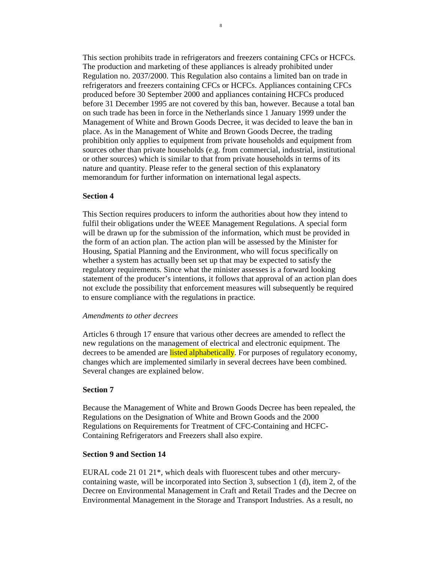This section prohibits trade in refrigerators and freezers containing CFCs or HCFCs. The production and marketing of these appliances is already prohibited under Regulation no. 2037/2000. This Regulation also contains a limited ban on trade in refrigerators and freezers containing CFCs or HCFCs. Appliances containing CFCs produced before 30 September 2000 and appliances containing HCFCs produced before 31 December 1995 are not covered by this ban, however. Because a total ban on such trade has been in force in the Netherlands since 1 January 1999 under the Management of White and Brown Goods Decree, it was decided to leave the ban in place. As in the Management of White and Brown Goods Decree, the trading prohibition only applies to equipment from private households and equipment from sources other than private households (e.g. from commercial, industrial, institutional or other sources) which is similar to that from private households in terms of its nature and quantity. Please refer to the general section of this explanatory memorandum for further information on international legal aspects.

## **Section 4**

This Section requires producers to inform the authorities about how they intend to fulfil their obligations under the WEEE Management Regulations. A special form will be drawn up for the submission of the information, which must be provided in the form of an action plan. The action plan will be assessed by the Minister for Housing, Spatial Planning and the Environment, who will focus specifically on whether a system has actually been set up that may be expected to satisfy the regulatory requirements. Since what the minister assesses is a forward looking statement of the producer's intentions, it follows that approval of an action plan does not exclude the possibility that enforcement measures will subsequently be required to ensure compliance with the regulations in practice.

### *Amendments to other decrees*

Articles 6 through 17 ensure that various other decrees are amended to reflect the new regulations on the management of electrical and electronic equipment. The decrees to be amended are listed alphabetically. For purposes of regulatory economy, changes which are implemented similarly in several decrees have been combined. Several changes are explained below.

### **Section 7**

Because the Management of White and Brown Goods Decree has been repealed, the Regulations on the Designation of White and Brown Goods and the 2000 Regulations on Requirements for Treatment of CFC-Containing and HCFC-Containing Refrigerators and Freezers shall also expire.

## **Section 9 and Section 14**

EURAL code 21 01 21\*, which deals with fluorescent tubes and other mercurycontaining waste, will be incorporated into Section 3, subsection 1 (d), item 2, of the Decree on Environmental Management in Craft and Retail Trades and the Decree on Environmental Management in the Storage and Transport Industries. As a result, no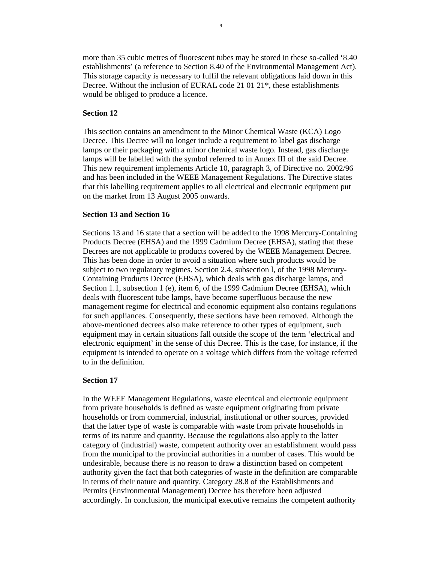more than 35 cubic metres of fluorescent tubes may be stored in these so-called '8.40 establishments' (a reference to Section 8.40 of the Environmental Management Act). This storage capacity is necessary to fulfil the relevant obligations laid down in this Decree. Without the inclusion of EURAL code 21 01 21\*, these establishments would be obliged to produce a licence.

# **Section 12**

This section contains an amendment to the Minor Chemical Waste (KCA) Logo Decree. This Decree will no longer include a requirement to label gas discharge lamps or their packaging with a minor chemical waste logo. Instead, gas discharge lamps will be labelled with the symbol referred to in Annex III of the said Decree. This new requirement implements Article 10, paragraph 3, of Directive no. 2002/96 and has been included in the WEEE Management Regulations. The Directive states that this labelling requirement applies to all electrical and electronic equipment put on the market from 13 August 2005 onwards.

### **Section 13 and Section 16**

Sections 13 and 16 state that a section will be added to the 1998 Mercury-Containing Products Decree (EHSA) and the 1999 Cadmium Decree (EHSA), stating that these Decrees are not applicable to products covered by the WEEE Management Decree. This has been done in order to avoid a situation where such products would be subject to two regulatory regimes. Section 2.4, subsection l, of the 1998 Mercury-Containing Products Decree (EHSA), which deals with gas discharge lamps, and Section 1.1, subsection 1 (e), item 6, of the 1999 Cadmium Decree (EHSA), which deals with fluorescent tube lamps, have become superfluous because the new management regime for electrical and economic equipment also contains regulations for such appliances. Consequently, these sections have been removed. Although the above-mentioned decrees also make reference to other types of equipment, such equipment may in certain situations fall outside the scope of the term 'electrical and electronic equipment' in the sense of this Decree. This is the case, for instance, if the equipment is intended to operate on a voltage which differs from the voltage referred to in the definition.

## **Section 17**

In the WEEE Management Regulations, waste electrical and electronic equipment from private households is defined as waste equipment originating from private households or from commercial, industrial, institutional or other sources, provided that the latter type of waste is comparable with waste from private households in terms of its nature and quantity. Because the regulations also apply to the latter category of (industrial) waste, competent authority over an establishment would pass from the municipal to the provincial authorities in a number of cases. This would be undesirable, because there is no reason to draw a distinction based on competent authority given the fact that both categories of waste in the definition are comparable in terms of their nature and quantity. Category 28.8 of the Establishments and Permits (Environmental Management) Decree has therefore been adjusted accordingly. In conclusion, the municipal executive remains the competent authority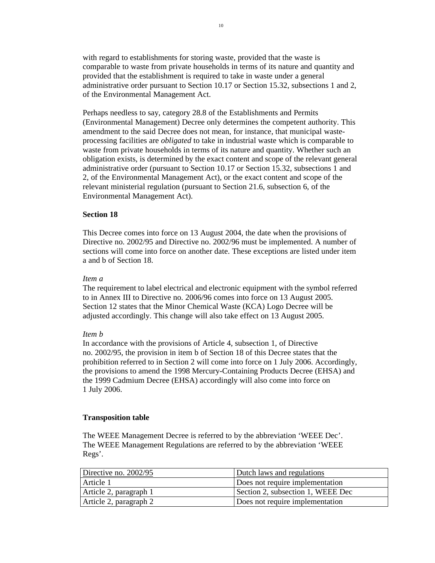with regard to establishments for storing waste, provided that the waste is comparable to waste from private households in terms of its nature and quantity and provided that the establishment is required to take in waste under a general administrative order pursuant to Section 10.17 or Section 15.32, subsections 1 and 2, of the Environmental Management Act.

Perhaps needless to say, category 28.8 of the Establishments and Permits (Environmental Management) Decree only determines the competent authority. This amendment to the said Decree does not mean, for instance, that municipal wasteprocessing facilities are *obligated* to take in industrial waste which is comparable to waste from private households in terms of its nature and quantity. Whether such an obligation exists, is determined by the exact content and scope of the relevant general administrative order (pursuant to Section 10.17 or Section 15.32, subsections 1 and 2, of the Environmental Management Act), or the exact content and scope of the relevant ministerial regulation (pursuant to Section 21.6, subsection 6, of the Environmental Management Act).

### **Section 18**

This Decree comes into force on 13 August 2004, the date when the provisions of Directive no. 2002/95 and Directive no. 2002/96 must be implemented. A number of sections will come into force on another date. These exceptions are listed under item a and b of Section 18.

#### *Item a*

The requirement to label electrical and electronic equipment with the symbol referred to in Annex III to Directive no. 2006/96 comes into force on 13 August 2005. Section 12 states that the Minor Chemical Waste (KCA) Logo Decree will be adjusted accordingly. This change will also take effect on 13 August 2005.

### *Item b*

In accordance with the provisions of Article 4, subsection 1, of Directive no. 2002/95, the provision in item b of Section 18 of this Decree states that the prohibition referred to in Section 2 will come into force on 1 July 2006. Accordingly, the provisions to amend the 1998 Mercury-Containing Products Decree (EHSA) and the 1999 Cadmium Decree (EHSA) accordingly will also come into force on 1 July 2006.

#### **Transposition table**

The WEEE Management Decree is referred to by the abbreviation 'WEEE Dec'. The WEEE Management Regulations are referred to by the abbreviation 'WEEE Regs'.

| Directive no. $2002/95$        | Dutch laws and regulations        |
|--------------------------------|-----------------------------------|
| Article 1                      | Does not require implementation   |
| Article 2, paragraph 1         | Section 2, subsection 1, WEEE Dec |
| $\vert$ Article 2, paragraph 2 | Does not require implementation   |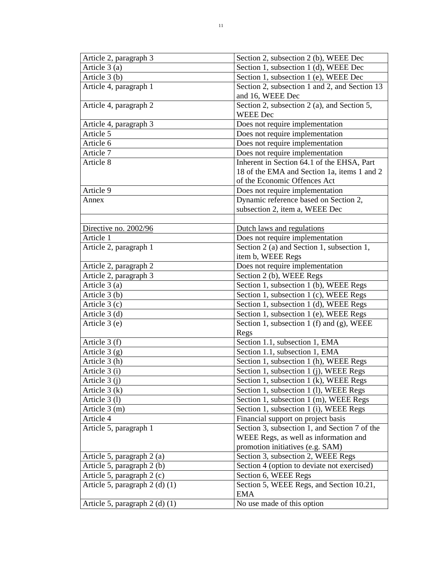| Section 1, subsection 1 (d), WEEE Dec<br>Article 3 (a)<br>Article 3 (b)<br>Section 1, subsection 1 (e), WEEE Dec<br>Section 2, subsection 1 and 2, and Section 13<br>Article 4, paragraph 1<br>and 16, WEEE Dec<br>Section 2, subsection 2 (a), and Section 5,<br>Article 4, paragraph 2<br><b>WEEE</b> Dec<br>Article 4, paragraph 3<br>Does not require implementation<br>Article 5<br>Does not require implementation<br>Article 6<br>Does not require implementation<br>Does not require implementation<br>Article 7<br>Inherent in Section 64.1 of the EHSA, Part<br>Article 8<br>18 of the EMA and Section 1a, items 1 and 2<br>of the Economic Offences Act<br>Article 9<br>Does not require implementation<br>Dynamic reference based on Section 2,<br>Annex<br>subsection 2, item a, WEEE Dec<br>Directive no. 2002/96<br>Dutch laws and regulations<br>Article 1<br>Does not require implementation<br>Section 2 (a) and Section 1, subsection 1,<br>Article 2, paragraph 1<br>item b, WEEE Regs<br>Does not require implementation<br>Article 2, paragraph 2<br>Article 2, paragraph 3<br>Section 2 (b), WEEE Regs<br>Section 1, subsection 1 (b), WEEE Regs<br>Article $3(a)$<br>Section 1, subsection 1 (c), WEEE Regs<br>Article $3(b)$<br>Article $3(c)$<br>Section 1, subsection 1 (d), WEEE Regs<br>Section 1, subsection 1 (e), WEEE Regs<br>Article $3(d)$<br>Section 1, subsection 1 (f) and (g), WEEE<br>Article 3 (e)<br>Regs<br>Section 1.1, subsection 1, EMA<br>Article 3 (f)<br>Section 1.1, subsection 1, EMA<br>Article $3(g)$<br>Section 1, subsection 1 (h), WEEE Regs<br>Article 3 (h)<br>Article 3 (i)<br>Section 1, subsection 1 (j), WEEE Regs<br>Article $3(j)$<br>Section 1, subsection 1 (k), WEEE Regs<br>Article $3(k)$<br>Section 1, subsection 1 (1), WEEE Regs<br>Article 3(1)<br>Section 1, subsection 1 (m), WEEE Regs<br>Section 1, subsection 1 (i), WEEE Regs<br>Article $3(m)$<br>Article 4<br>Financial support on project basis<br>Section 3, subsection 1, and Section 7 of the<br>Article 5, paragraph 1<br>WEEE Regs, as well as information and<br>promotion initiatives (e.g. SAM)<br>Article 5, paragraph 2 (a)<br>Section 3, subsection 2, WEEE Regs<br>Section 4 (option to deviate not exercised)<br>Article 5, paragraph 2 (b)<br>Article 5, paragraph 2 (c)<br>Section 6, WEEE Regs<br>Section 5, WEEE Regs, and Section 10.21,<br>Article 5, paragraph 2 (d) (1)<br><b>EMA</b><br>No use made of this option<br>Article 5, paragraph 2 (d) (1) | Article 2, paragraph 3 | Section 2, subsection 2 (b), WEEE Dec |
|--------------------------------------------------------------------------------------------------------------------------------------------------------------------------------------------------------------------------------------------------------------------------------------------------------------------------------------------------------------------------------------------------------------------------------------------------------------------------------------------------------------------------------------------------------------------------------------------------------------------------------------------------------------------------------------------------------------------------------------------------------------------------------------------------------------------------------------------------------------------------------------------------------------------------------------------------------------------------------------------------------------------------------------------------------------------------------------------------------------------------------------------------------------------------------------------------------------------------------------------------------------------------------------------------------------------------------------------------------------------------------------------------------------------------------------------------------------------------------------------------------------------------------------------------------------------------------------------------------------------------------------------------------------------------------------------------------------------------------------------------------------------------------------------------------------------------------------------------------------------------------------------------------------------------------------------------------------------------------------------------------------------------------------------------------------------------------------------------------------------------------------------------------------------------------------------------------------------------------------------------------------------------------------------------------------------------------------------------------------------------------------------------------------------------------------------------------------------------------------------------------------|------------------------|---------------------------------------|
|                                                                                                                                                                                                                                                                                                                                                                                                                                                                                                                                                                                                                                                                                                                                                                                                                                                                                                                                                                                                                                                                                                                                                                                                                                                                                                                                                                                                                                                                                                                                                                                                                                                                                                                                                                                                                                                                                                                                                                                                                                                                                                                                                                                                                                                                                                                                                                                                                                                                                                              |                        |                                       |
|                                                                                                                                                                                                                                                                                                                                                                                                                                                                                                                                                                                                                                                                                                                                                                                                                                                                                                                                                                                                                                                                                                                                                                                                                                                                                                                                                                                                                                                                                                                                                                                                                                                                                                                                                                                                                                                                                                                                                                                                                                                                                                                                                                                                                                                                                                                                                                                                                                                                                                              |                        |                                       |
|                                                                                                                                                                                                                                                                                                                                                                                                                                                                                                                                                                                                                                                                                                                                                                                                                                                                                                                                                                                                                                                                                                                                                                                                                                                                                                                                                                                                                                                                                                                                                                                                                                                                                                                                                                                                                                                                                                                                                                                                                                                                                                                                                                                                                                                                                                                                                                                                                                                                                                              |                        |                                       |
|                                                                                                                                                                                                                                                                                                                                                                                                                                                                                                                                                                                                                                                                                                                                                                                                                                                                                                                                                                                                                                                                                                                                                                                                                                                                                                                                                                                                                                                                                                                                                                                                                                                                                                                                                                                                                                                                                                                                                                                                                                                                                                                                                                                                                                                                                                                                                                                                                                                                                                              |                        |                                       |
|                                                                                                                                                                                                                                                                                                                                                                                                                                                                                                                                                                                                                                                                                                                                                                                                                                                                                                                                                                                                                                                                                                                                                                                                                                                                                                                                                                                                                                                                                                                                                                                                                                                                                                                                                                                                                                                                                                                                                                                                                                                                                                                                                                                                                                                                                                                                                                                                                                                                                                              |                        |                                       |
|                                                                                                                                                                                                                                                                                                                                                                                                                                                                                                                                                                                                                                                                                                                                                                                                                                                                                                                                                                                                                                                                                                                                                                                                                                                                                                                                                                                                                                                                                                                                                                                                                                                                                                                                                                                                                                                                                                                                                                                                                                                                                                                                                                                                                                                                                                                                                                                                                                                                                                              |                        |                                       |
|                                                                                                                                                                                                                                                                                                                                                                                                                                                                                                                                                                                                                                                                                                                                                                                                                                                                                                                                                                                                                                                                                                                                                                                                                                                                                                                                                                                                                                                                                                                                                                                                                                                                                                                                                                                                                                                                                                                                                                                                                                                                                                                                                                                                                                                                                                                                                                                                                                                                                                              |                        |                                       |
|                                                                                                                                                                                                                                                                                                                                                                                                                                                                                                                                                                                                                                                                                                                                                                                                                                                                                                                                                                                                                                                                                                                                                                                                                                                                                                                                                                                                                                                                                                                                                                                                                                                                                                                                                                                                                                                                                                                                                                                                                                                                                                                                                                                                                                                                                                                                                                                                                                                                                                              |                        |                                       |
|                                                                                                                                                                                                                                                                                                                                                                                                                                                                                                                                                                                                                                                                                                                                                                                                                                                                                                                                                                                                                                                                                                                                                                                                                                                                                                                                                                                                                                                                                                                                                                                                                                                                                                                                                                                                                                                                                                                                                                                                                                                                                                                                                                                                                                                                                                                                                                                                                                                                                                              |                        |                                       |
|                                                                                                                                                                                                                                                                                                                                                                                                                                                                                                                                                                                                                                                                                                                                                                                                                                                                                                                                                                                                                                                                                                                                                                                                                                                                                                                                                                                                                                                                                                                                                                                                                                                                                                                                                                                                                                                                                                                                                                                                                                                                                                                                                                                                                                                                                                                                                                                                                                                                                                              |                        |                                       |
|                                                                                                                                                                                                                                                                                                                                                                                                                                                                                                                                                                                                                                                                                                                                                                                                                                                                                                                                                                                                                                                                                                                                                                                                                                                                                                                                                                                                                                                                                                                                                                                                                                                                                                                                                                                                                                                                                                                                                                                                                                                                                                                                                                                                                                                                                                                                                                                                                                                                                                              |                        |                                       |
|                                                                                                                                                                                                                                                                                                                                                                                                                                                                                                                                                                                                                                                                                                                                                                                                                                                                                                                                                                                                                                                                                                                                                                                                                                                                                                                                                                                                                                                                                                                                                                                                                                                                                                                                                                                                                                                                                                                                                                                                                                                                                                                                                                                                                                                                                                                                                                                                                                                                                                              |                        |                                       |
|                                                                                                                                                                                                                                                                                                                                                                                                                                                                                                                                                                                                                                                                                                                                                                                                                                                                                                                                                                                                                                                                                                                                                                                                                                                                                                                                                                                                                                                                                                                                                                                                                                                                                                                                                                                                                                                                                                                                                                                                                                                                                                                                                                                                                                                                                                                                                                                                                                                                                                              |                        |                                       |
|                                                                                                                                                                                                                                                                                                                                                                                                                                                                                                                                                                                                                                                                                                                                                                                                                                                                                                                                                                                                                                                                                                                                                                                                                                                                                                                                                                                                                                                                                                                                                                                                                                                                                                                                                                                                                                                                                                                                                                                                                                                                                                                                                                                                                                                                                                                                                                                                                                                                                                              |                        |                                       |
|                                                                                                                                                                                                                                                                                                                                                                                                                                                                                                                                                                                                                                                                                                                                                                                                                                                                                                                                                                                                                                                                                                                                                                                                                                                                                                                                                                                                                                                                                                                                                                                                                                                                                                                                                                                                                                                                                                                                                                                                                                                                                                                                                                                                                                                                                                                                                                                                                                                                                                              |                        |                                       |
|                                                                                                                                                                                                                                                                                                                                                                                                                                                                                                                                                                                                                                                                                                                                                                                                                                                                                                                                                                                                                                                                                                                                                                                                                                                                                                                                                                                                                                                                                                                                                                                                                                                                                                                                                                                                                                                                                                                                                                                                                                                                                                                                                                                                                                                                                                                                                                                                                                                                                                              |                        |                                       |
|                                                                                                                                                                                                                                                                                                                                                                                                                                                                                                                                                                                                                                                                                                                                                                                                                                                                                                                                                                                                                                                                                                                                                                                                                                                                                                                                                                                                                                                                                                                                                                                                                                                                                                                                                                                                                                                                                                                                                                                                                                                                                                                                                                                                                                                                                                                                                                                                                                                                                                              |                        |                                       |
|                                                                                                                                                                                                                                                                                                                                                                                                                                                                                                                                                                                                                                                                                                                                                                                                                                                                                                                                                                                                                                                                                                                                                                                                                                                                                                                                                                                                                                                                                                                                                                                                                                                                                                                                                                                                                                                                                                                                                                                                                                                                                                                                                                                                                                                                                                                                                                                                                                                                                                              |                        |                                       |
|                                                                                                                                                                                                                                                                                                                                                                                                                                                                                                                                                                                                                                                                                                                                                                                                                                                                                                                                                                                                                                                                                                                                                                                                                                                                                                                                                                                                                                                                                                                                                                                                                                                                                                                                                                                                                                                                                                                                                                                                                                                                                                                                                                                                                                                                                                                                                                                                                                                                                                              |                        |                                       |
|                                                                                                                                                                                                                                                                                                                                                                                                                                                                                                                                                                                                                                                                                                                                                                                                                                                                                                                                                                                                                                                                                                                                                                                                                                                                                                                                                                                                                                                                                                                                                                                                                                                                                                                                                                                                                                                                                                                                                                                                                                                                                                                                                                                                                                                                                                                                                                                                                                                                                                              |                        |                                       |
|                                                                                                                                                                                                                                                                                                                                                                                                                                                                                                                                                                                                                                                                                                                                                                                                                                                                                                                                                                                                                                                                                                                                                                                                                                                                                                                                                                                                                                                                                                                                                                                                                                                                                                                                                                                                                                                                                                                                                                                                                                                                                                                                                                                                                                                                                                                                                                                                                                                                                                              |                        |                                       |
|                                                                                                                                                                                                                                                                                                                                                                                                                                                                                                                                                                                                                                                                                                                                                                                                                                                                                                                                                                                                                                                                                                                                                                                                                                                                                                                                                                                                                                                                                                                                                                                                                                                                                                                                                                                                                                                                                                                                                                                                                                                                                                                                                                                                                                                                                                                                                                                                                                                                                                              |                        |                                       |
|                                                                                                                                                                                                                                                                                                                                                                                                                                                                                                                                                                                                                                                                                                                                                                                                                                                                                                                                                                                                                                                                                                                                                                                                                                                                                                                                                                                                                                                                                                                                                                                                                                                                                                                                                                                                                                                                                                                                                                                                                                                                                                                                                                                                                                                                                                                                                                                                                                                                                                              |                        |                                       |
|                                                                                                                                                                                                                                                                                                                                                                                                                                                                                                                                                                                                                                                                                                                                                                                                                                                                                                                                                                                                                                                                                                                                                                                                                                                                                                                                                                                                                                                                                                                                                                                                                                                                                                                                                                                                                                                                                                                                                                                                                                                                                                                                                                                                                                                                                                                                                                                                                                                                                                              |                        |                                       |
|                                                                                                                                                                                                                                                                                                                                                                                                                                                                                                                                                                                                                                                                                                                                                                                                                                                                                                                                                                                                                                                                                                                                                                                                                                                                                                                                                                                                                                                                                                                                                                                                                                                                                                                                                                                                                                                                                                                                                                                                                                                                                                                                                                                                                                                                                                                                                                                                                                                                                                              |                        |                                       |
|                                                                                                                                                                                                                                                                                                                                                                                                                                                                                                                                                                                                                                                                                                                                                                                                                                                                                                                                                                                                                                                                                                                                                                                                                                                                                                                                                                                                                                                                                                                                                                                                                                                                                                                                                                                                                                                                                                                                                                                                                                                                                                                                                                                                                                                                                                                                                                                                                                                                                                              |                        |                                       |
|                                                                                                                                                                                                                                                                                                                                                                                                                                                                                                                                                                                                                                                                                                                                                                                                                                                                                                                                                                                                                                                                                                                                                                                                                                                                                                                                                                                                                                                                                                                                                                                                                                                                                                                                                                                                                                                                                                                                                                                                                                                                                                                                                                                                                                                                                                                                                                                                                                                                                                              |                        |                                       |
|                                                                                                                                                                                                                                                                                                                                                                                                                                                                                                                                                                                                                                                                                                                                                                                                                                                                                                                                                                                                                                                                                                                                                                                                                                                                                                                                                                                                                                                                                                                                                                                                                                                                                                                                                                                                                                                                                                                                                                                                                                                                                                                                                                                                                                                                                                                                                                                                                                                                                                              |                        |                                       |
|                                                                                                                                                                                                                                                                                                                                                                                                                                                                                                                                                                                                                                                                                                                                                                                                                                                                                                                                                                                                                                                                                                                                                                                                                                                                                                                                                                                                                                                                                                                                                                                                                                                                                                                                                                                                                                                                                                                                                                                                                                                                                                                                                                                                                                                                                                                                                                                                                                                                                                              |                        |                                       |
|                                                                                                                                                                                                                                                                                                                                                                                                                                                                                                                                                                                                                                                                                                                                                                                                                                                                                                                                                                                                                                                                                                                                                                                                                                                                                                                                                                                                                                                                                                                                                                                                                                                                                                                                                                                                                                                                                                                                                                                                                                                                                                                                                                                                                                                                                                                                                                                                                                                                                                              |                        |                                       |
|                                                                                                                                                                                                                                                                                                                                                                                                                                                                                                                                                                                                                                                                                                                                                                                                                                                                                                                                                                                                                                                                                                                                                                                                                                                                                                                                                                                                                                                                                                                                                                                                                                                                                                                                                                                                                                                                                                                                                                                                                                                                                                                                                                                                                                                                                                                                                                                                                                                                                                              |                        |                                       |
|                                                                                                                                                                                                                                                                                                                                                                                                                                                                                                                                                                                                                                                                                                                                                                                                                                                                                                                                                                                                                                                                                                                                                                                                                                                                                                                                                                                                                                                                                                                                                                                                                                                                                                                                                                                                                                                                                                                                                                                                                                                                                                                                                                                                                                                                                                                                                                                                                                                                                                              |                        |                                       |
|                                                                                                                                                                                                                                                                                                                                                                                                                                                                                                                                                                                                                                                                                                                                                                                                                                                                                                                                                                                                                                                                                                                                                                                                                                                                                                                                                                                                                                                                                                                                                                                                                                                                                                                                                                                                                                                                                                                                                                                                                                                                                                                                                                                                                                                                                                                                                                                                                                                                                                              |                        |                                       |
|                                                                                                                                                                                                                                                                                                                                                                                                                                                                                                                                                                                                                                                                                                                                                                                                                                                                                                                                                                                                                                                                                                                                                                                                                                                                                                                                                                                                                                                                                                                                                                                                                                                                                                                                                                                                                                                                                                                                                                                                                                                                                                                                                                                                                                                                                                                                                                                                                                                                                                              |                        |                                       |
|                                                                                                                                                                                                                                                                                                                                                                                                                                                                                                                                                                                                                                                                                                                                                                                                                                                                                                                                                                                                                                                                                                                                                                                                                                                                                                                                                                                                                                                                                                                                                                                                                                                                                                                                                                                                                                                                                                                                                                                                                                                                                                                                                                                                                                                                                                                                                                                                                                                                                                              |                        |                                       |
|                                                                                                                                                                                                                                                                                                                                                                                                                                                                                                                                                                                                                                                                                                                                                                                                                                                                                                                                                                                                                                                                                                                                                                                                                                                                                                                                                                                                                                                                                                                                                                                                                                                                                                                                                                                                                                                                                                                                                                                                                                                                                                                                                                                                                                                                                                                                                                                                                                                                                                              |                        |                                       |
|                                                                                                                                                                                                                                                                                                                                                                                                                                                                                                                                                                                                                                                                                                                                                                                                                                                                                                                                                                                                                                                                                                                                                                                                                                                                                                                                                                                                                                                                                                                                                                                                                                                                                                                                                                                                                                                                                                                                                                                                                                                                                                                                                                                                                                                                                                                                                                                                                                                                                                              |                        |                                       |
|                                                                                                                                                                                                                                                                                                                                                                                                                                                                                                                                                                                                                                                                                                                                                                                                                                                                                                                                                                                                                                                                                                                                                                                                                                                                                                                                                                                                                                                                                                                                                                                                                                                                                                                                                                                                                                                                                                                                                                                                                                                                                                                                                                                                                                                                                                                                                                                                                                                                                                              |                        |                                       |
|                                                                                                                                                                                                                                                                                                                                                                                                                                                                                                                                                                                                                                                                                                                                                                                                                                                                                                                                                                                                                                                                                                                                                                                                                                                                                                                                                                                                                                                                                                                                                                                                                                                                                                                                                                                                                                                                                                                                                                                                                                                                                                                                                                                                                                                                                                                                                                                                                                                                                                              |                        |                                       |
|                                                                                                                                                                                                                                                                                                                                                                                                                                                                                                                                                                                                                                                                                                                                                                                                                                                                                                                                                                                                                                                                                                                                                                                                                                                                                                                                                                                                                                                                                                                                                                                                                                                                                                                                                                                                                                                                                                                                                                                                                                                                                                                                                                                                                                                                                                                                                                                                                                                                                                              |                        |                                       |
|                                                                                                                                                                                                                                                                                                                                                                                                                                                                                                                                                                                                                                                                                                                                                                                                                                                                                                                                                                                                                                                                                                                                                                                                                                                                                                                                                                                                                                                                                                                                                                                                                                                                                                                                                                                                                                                                                                                                                                                                                                                                                                                                                                                                                                                                                                                                                                                                                                                                                                              |                        |                                       |
|                                                                                                                                                                                                                                                                                                                                                                                                                                                                                                                                                                                                                                                                                                                                                                                                                                                                                                                                                                                                                                                                                                                                                                                                                                                                                                                                                                                                                                                                                                                                                                                                                                                                                                                                                                                                                                                                                                                                                                                                                                                                                                                                                                                                                                                                                                                                                                                                                                                                                                              |                        |                                       |
|                                                                                                                                                                                                                                                                                                                                                                                                                                                                                                                                                                                                                                                                                                                                                                                                                                                                                                                                                                                                                                                                                                                                                                                                                                                                                                                                                                                                                                                                                                                                                                                                                                                                                                                                                                                                                                                                                                                                                                                                                                                                                                                                                                                                                                                                                                                                                                                                                                                                                                              |                        |                                       |
|                                                                                                                                                                                                                                                                                                                                                                                                                                                                                                                                                                                                                                                                                                                                                                                                                                                                                                                                                                                                                                                                                                                                                                                                                                                                                                                                                                                                                                                                                                                                                                                                                                                                                                                                                                                                                                                                                                                                                                                                                                                                                                                                                                                                                                                                                                                                                                                                                                                                                                              |                        |                                       |
|                                                                                                                                                                                                                                                                                                                                                                                                                                                                                                                                                                                                                                                                                                                                                                                                                                                                                                                                                                                                                                                                                                                                                                                                                                                                                                                                                                                                                                                                                                                                                                                                                                                                                                                                                                                                                                                                                                                                                                                                                                                                                                                                                                                                                                                                                                                                                                                                                                                                                                              |                        |                                       |
|                                                                                                                                                                                                                                                                                                                                                                                                                                                                                                                                                                                                                                                                                                                                                                                                                                                                                                                                                                                                                                                                                                                                                                                                                                                                                                                                                                                                                                                                                                                                                                                                                                                                                                                                                                                                                                                                                                                                                                                                                                                                                                                                                                                                                                                                                                                                                                                                                                                                                                              |                        |                                       |
|                                                                                                                                                                                                                                                                                                                                                                                                                                                                                                                                                                                                                                                                                                                                                                                                                                                                                                                                                                                                                                                                                                                                                                                                                                                                                                                                                                                                                                                                                                                                                                                                                                                                                                                                                                                                                                                                                                                                                                                                                                                                                                                                                                                                                                                                                                                                                                                                                                                                                                              |                        |                                       |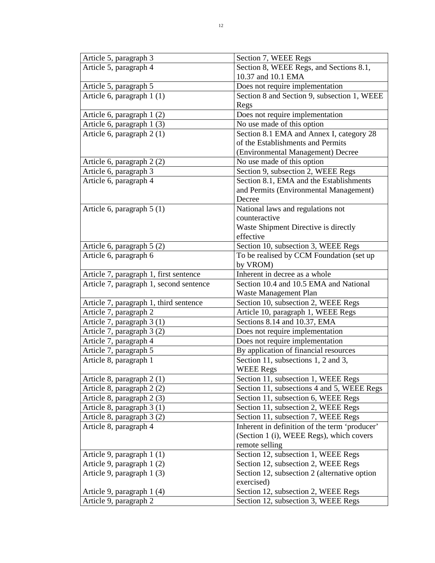| Article 5, paragraph 3                               | Section 7, WEEE Regs                                                       |
|------------------------------------------------------|----------------------------------------------------------------------------|
| Article 5, paragraph 4                               | Section 8, WEEE Regs, and Sections 8.1,                                    |
|                                                      | 10.37 and 10.1 EMA                                                         |
| Article 5, paragraph 5                               | Does not require implementation                                            |
| Article 6, paragraph 1 (1)                           | Section 8 and Section 9, subsection 1, WEEE                                |
|                                                      | Regs                                                                       |
| Article 6, paragraph 1 (2)                           | Does not require implementation                                            |
| Article 6, paragraph 1 (3)                           | No use made of this option                                                 |
| Article 6, paragraph 2 (1)                           | Section 8.1 EMA and Annex I, category 28                                   |
|                                                      | of the Establishments and Permits                                          |
|                                                      | (Environmental Management) Decree                                          |
| Article 6, paragraph 2 (2)                           | No use made of this option                                                 |
| Article 6, paragraph 3                               | Section 9, subsection 2, WEEE Regs                                         |
| Article 6, paragraph 4                               | Section 8.1, EMA and the Establishments                                    |
|                                                      | and Permits (Environmental Management)                                     |
|                                                      | Decree                                                                     |
| Article 6, paragraph 5 (1)                           | National laws and regulations not                                          |
|                                                      | counteractive                                                              |
|                                                      | Waste Shipment Directive is directly                                       |
|                                                      | effective                                                                  |
| Article 6, paragraph 5 (2)                           | Section 10, subsection 3, WEEE Regs                                        |
| Article 6, paragraph 6                               | To be realised by CCM Foundation (set up                                   |
|                                                      | by VROM)                                                                   |
| Article 7, paragraph 1, first sentence               | Inherent in decree as a whole                                              |
| Article 7, paragraph 1, second sentence              | Section 10.4 and 10.5 EMA and National                                     |
|                                                      |                                                                            |
|                                                      | Waste Management Plan                                                      |
| Article 7, paragraph 1, third sentence               | Section 10, subsection 2, WEEE Regs                                        |
| Article 7, paragraph 2                               | Article 10, paragraph 1, WEEE Regs                                         |
| Article 7, paragraph 3 (1)                           | Sections 8.14 and 10.37, EMA                                               |
| Article 7, paragraph 3 (2)                           | Does not require implementation                                            |
| Article 7, paragraph 4                               | Does not require implementation                                            |
| Article 7, paragraph 5                               | By application of financial resources                                      |
| Article 8, paragraph 1                               | Section 11, subsections 1, 2 and 3,                                        |
|                                                      | <b>WEEE Regs</b>                                                           |
| Article 8, paragraph 2 (1)                           | Section 11, subsection 1, WEEE Regs                                        |
| Article 8, paragraph 2 (2)                           | Section 11, subsections 4 and 5, WEEE Regs                                 |
| Article 8, paragraph 2 (3)                           | Section 11, subsection 6, WEEE Regs                                        |
| Article 8, paragraph 3 (1)                           | Section 11, subsection 2, WEEE Regs                                        |
| Article 8, paragraph 3 (2)                           | Section 11, subsection 7, WEEE Regs                                        |
| Article 8, paragraph 4                               | Inherent in definition of the term 'producer'                              |
|                                                      | (Section 1 (i), WEEE Regs), which covers                                   |
|                                                      | remote selling                                                             |
| Article 9, paragraph 1 (1)                           | Section 12, subsection 1, WEEE Regs                                        |
| Article 9, paragraph 1 (2)                           | Section 12, subsection 2, WEEE Regs                                        |
| Article 9, paragraph 1 (3)                           | Section 12, subsection 2 (alternative option                               |
|                                                      | exercised)                                                                 |
| Article 9, paragraph 1 (4)<br>Article 9, paragraph 2 | Section 12, subsection 2, WEEE Regs<br>Section 12, subsection 3, WEEE Regs |